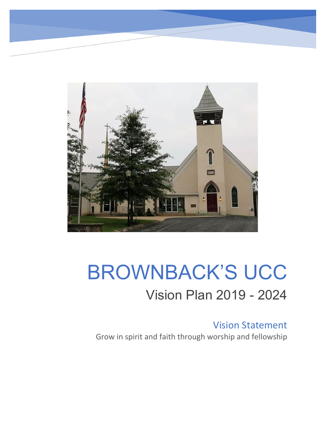

## BROWNBACK'S UCC Vision Plan 2019 - 2024

Vision Statement Grow in spirit and faith through worship and fellowship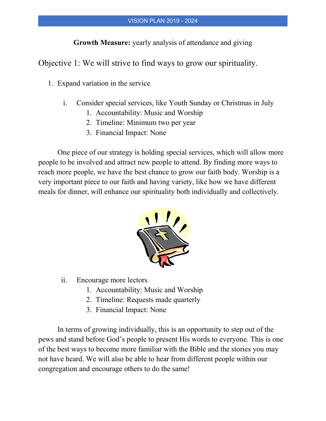**Growth Measure:** yearly analysis of attendance and giving

Objective 1: We will strive to find ways to grow our spirituality.

- 1. Expand variation in the service
	- i. Consider special services, like Youth Sunday or Christmas in July
		- 1. Accountability: Music and Worship
		- 2. Timeline: Minimum two per year
		- 3. Financial Impact: None

One piece of our strategy is holding special services, which will allow more people to be involved and attract new people to attend. By finding more ways to reach more people, we have the best chance to grow our faith body. Worship is a very important piece to our faith and having variety, like how we have different meals for dinner, will enhance our spirituality both individually and collectively.



- ii. Encourage more lectors
	- 1. Accountability: Music and Worship
	- 2. Timeline: Requests made quarterly
	- 3. Financial Impact: None

In terms of growing individually, this is an opportunity to step out of the pews and stand before God's people to present His words to everyone. This is one of the best ways to become more familiar with the Bible and the stories you may not have heard. We will also be able to hear from different people within our congregation and encourage others to do the same!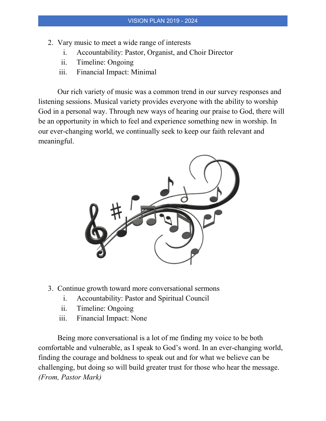- 2. Vary music to meet a wide range of interests
	- i. Accountability: Pastor, Organist, and Choir Director
	- ii. Timeline: Ongoing
	- iii. Financial Impact: Minimal

Our rich variety of music was a common trend in our survey responses and listening sessions. Musical variety provides everyone with the ability to worship God in a personal way. Through new ways of hearing our praise to God, there will be an opportunity in which to feel and experience something new in worship. In our ever-changing world, we continually seek to keep our faith relevant and meaningful.



- 3. Continue growth toward more conversational sermons
	- i. Accountability: Pastor and Spiritual Council
	- ii. Timeline: Ongoing
	- iii. Financial Impact: None

Being more conversational is a lot of me finding my voice to be both comfortable and vulnerable, as I speak to God's word. In an ever-changing world, finding the courage and boldness to speak out and for what we believe can be challenging, but doing so will build greater trust for those who hear the message. *(From, Pastor Mark)*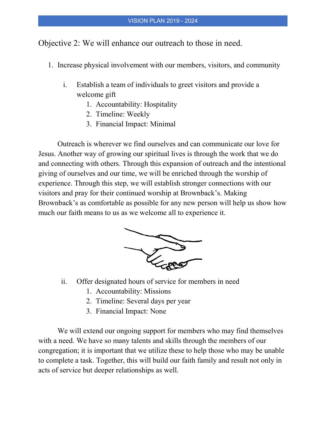Objective 2: We will enhance our outreach to those in need.

- 1. Increase physical involvement with our members, visitors, and community
	- i. Establish a team of individuals to greet visitors and provide a welcome gift
		- 1. Accountability: Hospitality
		- 2. Timeline: Weekly
		- 3. Financial Impact: Minimal

Outreach is wherever we find ourselves and can communicate our love for Jesus. Another way of growing our spiritual lives is through the work that we do and connecting with others. Through this expansion of outreach and the intentional giving of ourselves and our time, we will be enriched through the worship of experience. Through this step, we will establish stronger connections with our visitors and pray for their continued worship at Brownback's. Making Brownback's as comfortable as possible for any new person will help us show how much our faith means to us as we welcome all to experience it.



- ii. Offer designated hours of service for members in need
	- 1. Accountability: Missions
	- 2. Timeline: Several days per year
	- 3. Financial Impact: None

We will extend our ongoing support for members who may find themselves with a need. We have so many talents and skills through the members of our congregation; it is important that we utilize these to help those who may be unable to complete a task. Together, this will build our faith family and result not only in acts of service but deeper relationships as well.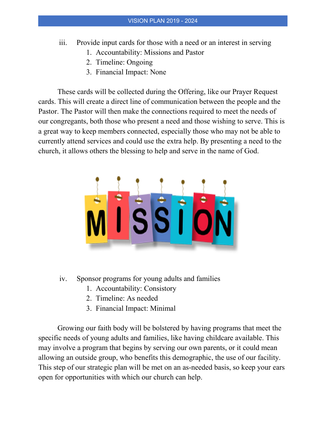- iii. Provide input cards for those with a need or an interest in serving
	- 1. Accountability: Missions and Pastor
	- 2. Timeline: Ongoing
	- 3. Financial Impact: None

These cards will be collected during the Offering, like our Prayer Request cards. This will create a direct line of communication between the people and the Pastor. The Pastor will then make the connections required to meet the needs of our congregants, both those who present a need and those wishing to serve. This is a great way to keep members connected, especially those who may not be able to currently attend services and could use the extra help. By presenting a need to the church, it allows others the blessing to help and serve in the name of God.



- iv. Sponsor programs for young adults and families
	- 1. Accountability: Consistory
	- 2. Timeline: As needed
	- 3. Financial Impact: Minimal

Growing our faith body will be bolstered by having programs that meet the specific needs of young adults and families, like having childcare available. This may involve a program that begins by serving our own parents, or it could mean allowing an outside group, who benefits this demographic, the use of our facility. This step of our strategic plan will be met on an as-needed basis, so keep your ears open for opportunities with which our church can help.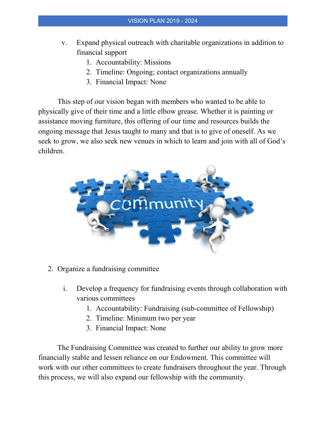- v. Expand physical outreach with charitable organizations in addition to financial support
	- 1. Accountability: Missions
	- 2. Timeline: Ongoing; contact organizations annually
	- 3. Financial Impact: None

This step of our vision began with members who wanted to be able to physically give of their time and a little elbow grease. Whether it is painting or assistance moving furniture, this offering of our time and resources builds the ongoing message that Jesus taught to many and that is to give of oneself. As we seek to grow, we also seek new venues in which to learn and join with all of God's children.



- 2. Organize a fundraising committee
	- i. Develop a frequency for fundraising events through collaboration with various committees
		- 1. Accountability: Fundraising (sub-committee of Fellowship)
		- 2. Timeline: Minimum two per year
		- 3. Financial Impact: None

The Fundraising Committee was created to further our ability to grow more financially stable and lessen reliance on our Endowment. This committee will work with our other committees to create fundraisers throughout the year. Through this process, we will also expand our fellowship with the community.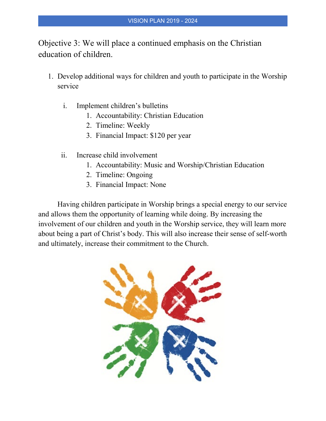Objective 3: We will place a continued emphasis on the Christian education of children.

- 1. Develop additional ways for children and youth to participate in the Worship service
	- i. Implement children's bulletins
		- 1. Accountability: Christian Education
		- 2. Timeline: Weekly
		- 3. Financial Impact: \$120 per year
	- ii. Increase child involvement
		- 1. Accountability: Music and Worship/Christian Education
		- 2. Timeline: Ongoing
		- 3. Financial Impact: None

Having children participate in Worship brings a special energy to our service and allows them the opportunity of learning while doing. By increasing the involvement of our children and youth in the Worship service, they will learn more about being a part of Christ's body. This will also increase their sense of self-worth and ultimately, increase their commitment to the Church.

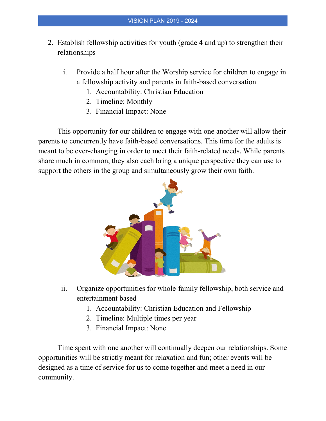- 2. Establish fellowship activities for youth (grade 4 and up) to strengthen their relationships
	- i. Provide a half hour after the Worship service for children to engage in a fellowship activity and parents in faith-based conversation
		- 1. Accountability: Christian Education
		- 2. Timeline: Monthly
		- 3. Financial Impact: None

This opportunity for our children to engage with one another will allow their parents to concurrently have faith-based conversations. This time for the adults is meant to be ever-changing in order to meet their faith-related needs. While parents share much in common, they also each bring a unique perspective they can use to support the others in the group and simultaneously grow their own faith.



- ii. Organize opportunities for whole-family fellowship, both service and entertainment based
	- 1. Accountability: Christian Education and Fellowship
	- 2. Timeline: Multiple times per year
	- 3. Financial Impact: None

Time spent with one another will continually deepen our relationships. Some opportunities will be strictly meant for relaxation and fun; other events will be designed as a time of service for us to come together and meet a need in our community.